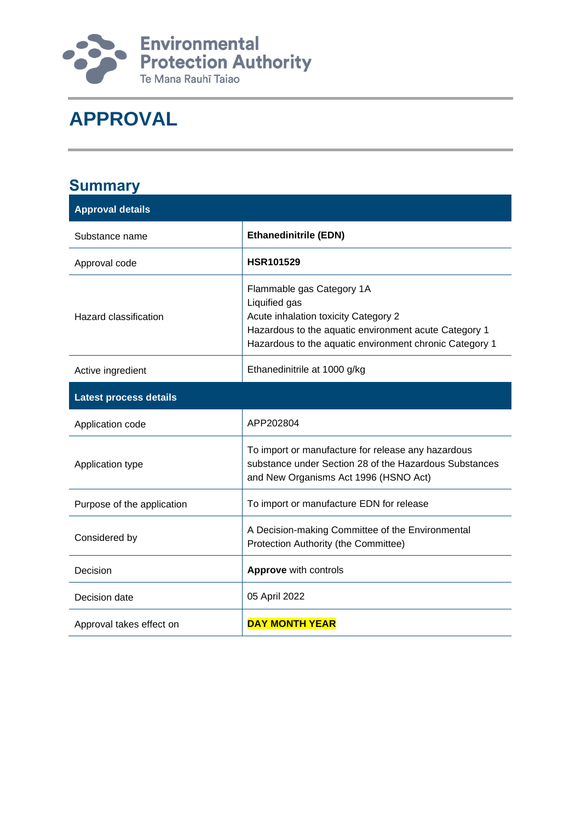

# **APPROVAL**

| <b>Summary</b>                |                                                                                                                                                                                                        |
|-------------------------------|--------------------------------------------------------------------------------------------------------------------------------------------------------------------------------------------------------|
| <b>Approval details</b>       |                                                                                                                                                                                                        |
| Substance name                | <b>Ethanedinitrile (EDN)</b>                                                                                                                                                                           |
| Approval code                 | <b>HSR101529</b>                                                                                                                                                                                       |
| <b>Hazard classification</b>  | Flammable gas Category 1A<br>Liquified gas<br>Acute inhalation toxicity Category 2<br>Hazardous to the aquatic environment acute Category 1<br>Hazardous to the aquatic environment chronic Category 1 |
| Active ingredient             | Ethanedinitrile at 1000 g/kg                                                                                                                                                                           |
| <b>Latest process details</b> |                                                                                                                                                                                                        |
| Application code              | APP202804                                                                                                                                                                                              |
| Application type              | To import or manufacture for release any hazardous<br>substance under Section 28 of the Hazardous Substances<br>and New Organisms Act 1996 (HSNO Act)                                                  |
| Purpose of the application    | To import or manufacture EDN for release                                                                                                                                                               |
| Considered by                 | A Decision-making Committee of the Environmental<br>Protection Authority (the Committee)                                                                                                               |
| Decision                      | <b>Approve</b> with controls                                                                                                                                                                           |
| Decision date                 | 05 April 2022                                                                                                                                                                                          |
| Approval takes effect on      | <b>DAY MONTH YEAR</b>                                                                                                                                                                                  |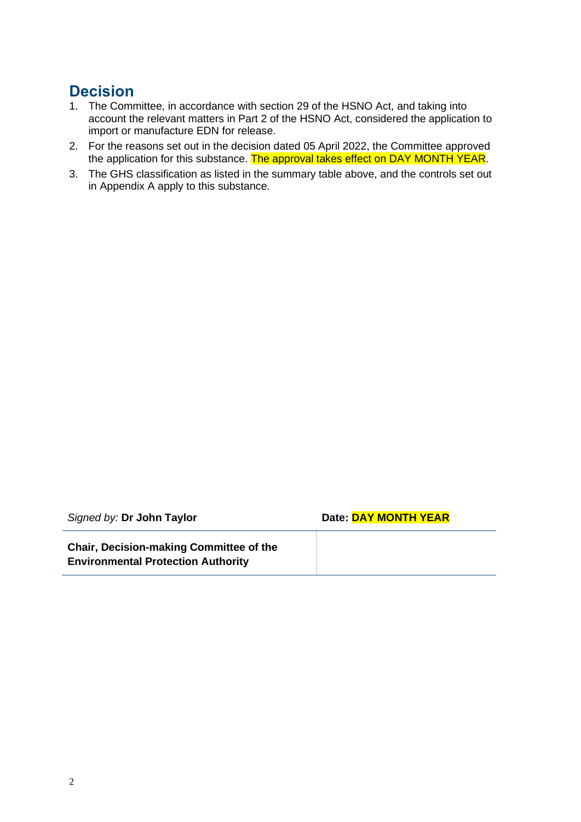### **Decision**

- 1. The Committee, in accordance with section 29 of the HSNO Act, and taking into account the relevant matters in Part 2 of the HSNO Act, considered the application to import or manufacture EDN for release.
- 2. For the reasons set out in the decision dated 05 April 2022, the Committee approved the application for this substance. The approval takes effect on DAY MONTH YEAR.
- 3. The GHS classification as listed in the summary table above, and the controls set out in Appendix A apply to this substance.

| Signed by: Dr John Taylor                                                                   | Date: DAY MONTH YEAR |
|---------------------------------------------------------------------------------------------|----------------------|
| <b>Chair, Decision-making Committee of the</b><br><b>Environmental Protection Authority</b> |                      |

L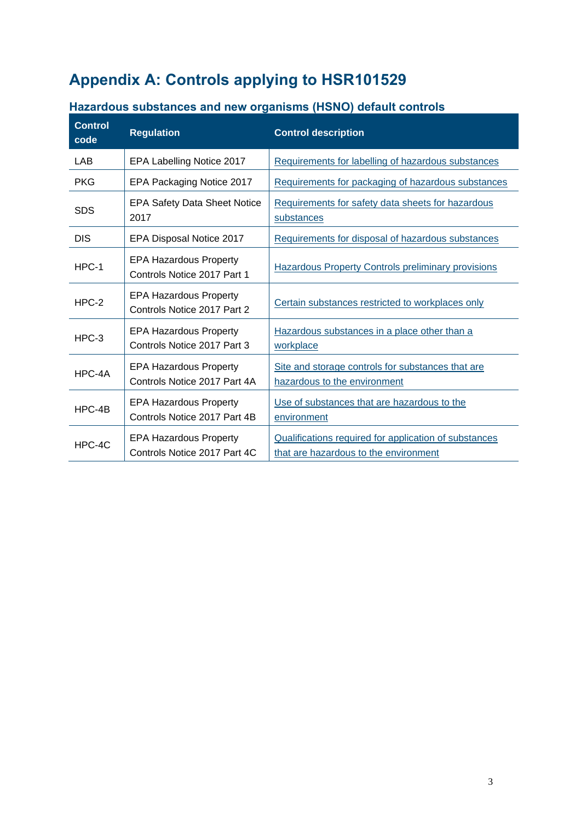## **Appendix A: Controls applying to HSR101529**

| <b>Control</b><br>code | <b>Regulation</b>                                             | <b>Control description</b>                                                                     |  |
|------------------------|---------------------------------------------------------------|------------------------------------------------------------------------------------------------|--|
| LAB                    | EPA Labelling Notice 2017                                     | Requirements for labelling of hazardous substances                                             |  |
| <b>PKG</b>             | EPA Packaging Notice 2017                                     | Requirements for packaging of hazardous substances                                             |  |
| <b>SDS</b>             | <b>EPA Safety Data Sheet Notice</b><br>2017                   | Requirements for safety data sheets for hazardous<br>substances                                |  |
| <b>DIS</b>             | EPA Disposal Notice 2017                                      | Requirements for disposal of hazardous substances                                              |  |
| HPC-1                  | <b>EPA Hazardous Property</b><br>Controls Notice 2017 Part 1  | <b>Hazardous Property Controls preliminary provisions</b>                                      |  |
| $HPC-2$                | <b>EPA Hazardous Property</b><br>Controls Notice 2017 Part 2  | Certain substances restricted to workplaces only                                               |  |
| $HPC-3$                | <b>EPA Hazardous Property</b><br>Controls Notice 2017 Part 3  | Hazardous substances in a place other than a<br>workplace                                      |  |
| HPC-4A                 | <b>EPA Hazardous Property</b><br>Controls Notice 2017 Part 4A | Site and storage controls for substances that are<br>hazardous to the environment              |  |
| HPC-4B                 | <b>EPA Hazardous Property</b><br>Controls Notice 2017 Part 4B | Use of substances that are hazardous to the<br>environment                                     |  |
| HPC-4C                 | <b>EPA Hazardous Property</b><br>Controls Notice 2017 Part 4C | Qualifications required for application of substances<br>that are hazardous to the environment |  |

### **Hazardous substances and new organisms (HSNO) default controls**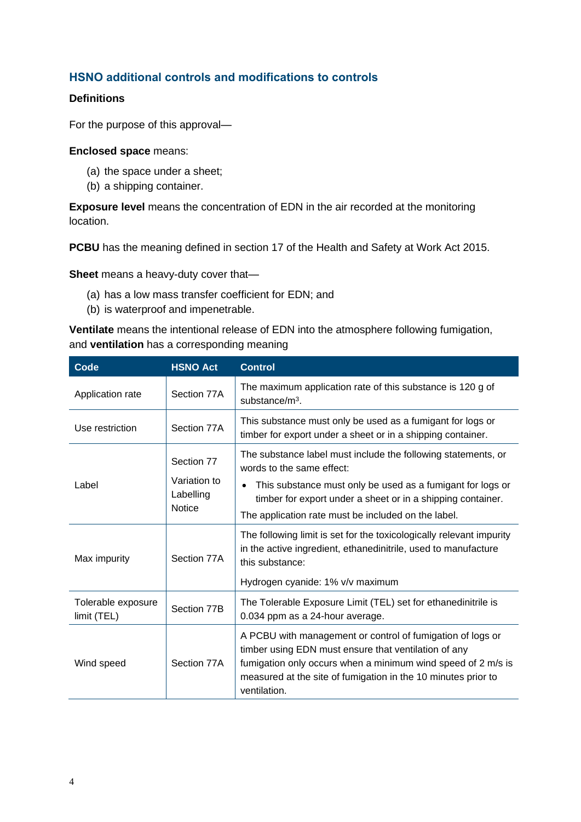#### **HSNO additional controls and modifications to controls**

#### **Definitions**

For the purpose of this approval—

#### **Enclosed space** means:

- (a) the space under a sheet;
- (b) a shipping container.

**Exposure level** means the concentration of EDN in the air recorded at the monitoring location.

**PCBU** has the meaning defined in section 17 of the Health and Safety at Work Act 2015.

**Sheet** means a heavy-duty cover that—

- (a) has a low mass transfer coefficient for EDN; and
- (b) is waterproof and impenetrable.

**Ventilate** means the intentional release of EDN into the atmosphere following fumigation, and **ventilation** has a corresponding meaning

| Code                              | <b>HSNO Act</b>                                          | <b>Control</b>                                                                                                                                                                                                                                                                 |  |
|-----------------------------------|----------------------------------------------------------|--------------------------------------------------------------------------------------------------------------------------------------------------------------------------------------------------------------------------------------------------------------------------------|--|
| Application rate                  | Section 77A                                              | The maximum application rate of this substance is 120 g of<br>substance/ $m^3$ .                                                                                                                                                                                               |  |
| Use restriction                   | Section 77A                                              | This substance must only be used as a fumigant for logs or<br>timber for export under a sheet or in a shipping container.                                                                                                                                                      |  |
| Label                             | Section 77<br>Variation to<br>Labelling<br><b>Notice</b> | The substance label must include the following statements, or<br>words to the same effect:<br>This substance must only be used as a fumigant for logs or<br>timber for export under a sheet or in a shipping container.<br>The application rate must be included on the label. |  |
| Max impurity                      | Section 77A                                              | The following limit is set for the toxicologically relevant impurity<br>in the active ingredient, ethanedinitrile, used to manufacture<br>this substance:<br>Hydrogen cyanide: 1% v/v maximum                                                                                  |  |
| Tolerable exposure<br>limit (TEL) | Section 77B                                              | The Tolerable Exposure Limit (TEL) set for ethanedinitrile is<br>0.034 ppm as a 24-hour average.                                                                                                                                                                               |  |
| Wind speed                        | Section 77A                                              | A PCBU with management or control of fumigation of logs or<br>timber using EDN must ensure that ventilation of any<br>fumigation only occurs when a minimum wind speed of 2 m/s is<br>measured at the site of fumigation in the 10 minutes prior to<br>ventilation.            |  |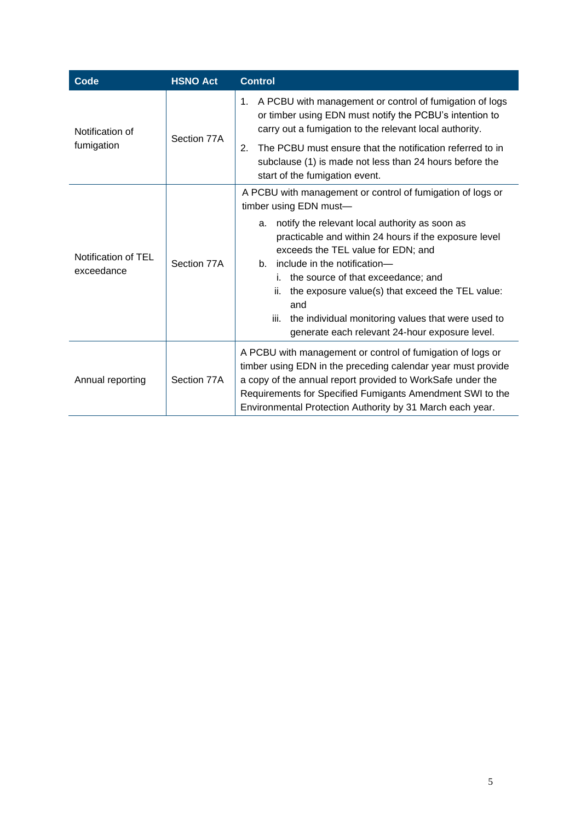| Code                              | <b>HSNO Act</b> | <b>Control</b>                                                                                                                                                                                                                                                                                                                                                                                                          |  |
|-----------------------------------|-----------------|-------------------------------------------------------------------------------------------------------------------------------------------------------------------------------------------------------------------------------------------------------------------------------------------------------------------------------------------------------------------------------------------------------------------------|--|
| Notification of<br>fumigation     | Section 77A     | A PCBU with management or control of fumigation of logs<br>1.<br>or timber using EDN must notify the PCBU's intention to<br>carry out a fumigation to the relevant local authority.                                                                                                                                                                                                                                     |  |
|                                   |                 | The PCBU must ensure that the notification referred to in<br>2.<br>subclause (1) is made not less than 24 hours before the<br>start of the fumigation event.                                                                                                                                                                                                                                                            |  |
|                                   |                 | A PCBU with management or control of fumigation of logs or<br>timber using EDN must-                                                                                                                                                                                                                                                                                                                                    |  |
| Notification of TEL<br>exceedance | Section 77A     | notify the relevant local authority as soon as<br>a.<br>practicable and within 24 hours if the exposure level<br>exceeds the TEL value for EDN; and<br>include in the notification-<br>b.<br>the source of that exceedance; and<br>i.<br>the exposure value(s) that exceed the TEL value:<br>ii.<br>and<br>the individual monitoring values that were used to<br>iii.<br>generate each relevant 24-hour exposure level. |  |
| Annual reporting                  | Section 77A     | A PCBU with management or control of fumigation of logs or<br>timber using EDN in the preceding calendar year must provide<br>a copy of the annual report provided to WorkSafe under the<br>Requirements for Specified Fumigants Amendment SWI to the<br>Environmental Protection Authority by 31 March each year.                                                                                                      |  |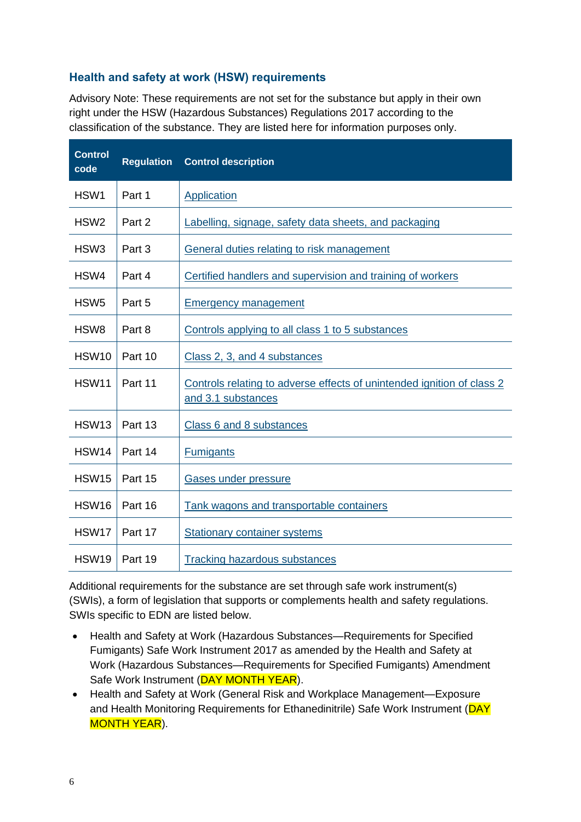#### **Health and safety at work (HSW) requirements**

Advisory Note: These requirements are not set for the substance but apply in their own right under the HSW (Hazardous Substances) Regulations 2017 according to the classification of the substance. They are listed here for information purposes only.

| <b>Control</b><br>code | <b>Regulation</b> | <b>Control description</b>                                                                   |
|------------------------|-------------------|----------------------------------------------------------------------------------------------|
| HSW1                   | Part 1            | <b>Application</b>                                                                           |
| HSW <sub>2</sub>       | Part 2            | Labelling, signage, safety data sheets, and packaging                                        |
| HSW <sub>3</sub>       | Part 3            | General duties relating to risk management                                                   |
| HSW4                   | Part 4            | Certified handlers and supervision and training of workers                                   |
| HSW <sub>5</sub>       | Part 5            | <b>Emergency management</b>                                                                  |
| HSW <sub>8</sub>       | Part 8            | Controls applying to all class 1 to 5 substances                                             |
| HSW <sub>10</sub>      | Part 10           | Class 2, 3, and 4 substances                                                                 |
| <b>HSW11</b>           | Part 11           | Controls relating to adverse effects of unintended ignition of class 2<br>and 3.1 substances |
| HSW <sub>13</sub>      | Part 13           | Class 6 and 8 substances                                                                     |
| <b>HSW14</b>           | Part 14           | <b>Fumigants</b>                                                                             |
| HSW15                  | Part 15           | Gases under pressure                                                                         |
| <b>HSW16</b>           | Part 16           | Tank wagons and transportable containers                                                     |
| HSW17                  | Part 17           | <b>Stationary container systems</b>                                                          |
| HSW19                  | Part 19           | <b>Tracking hazardous substances</b>                                                         |

Additional requirements for the substance are set through safe work instrument(s) (SWIs), a form of legislation that supports or complements health and safety regulations. SWIs specific to EDN are listed below.

- Health and Safety at Work (Hazardous Substances—Requirements for Specified Fumigants) Safe Work Instrument 2017 as amended by the Health and Safety at Work (Hazardous Substances—Requirements for Specified Fumigants) Amendment Safe Work Instrument (DAY MONTH YEAR).
- Health and Safety at Work (General Risk and Workplace Management—Exposure and Health Monitoring Requirements for Ethanedinitrile) Safe Work Instrument (DAY MONTH YEAR).